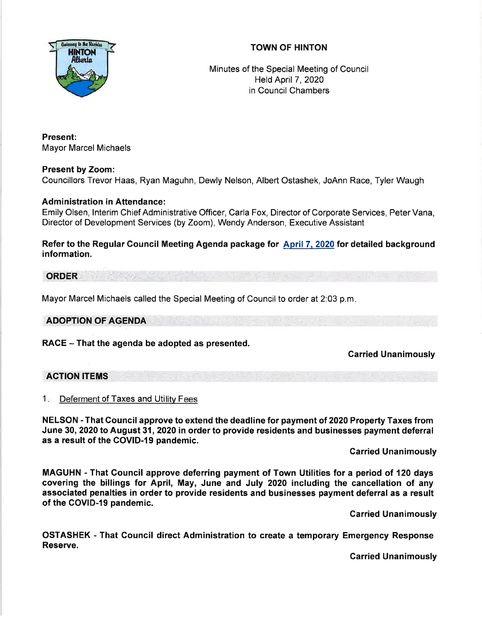



Minutes of the Special Meeting of Council Held April 7, 2020 in Council Chambers

Present: Mayor Marcel Michaels

# Present by Zoom:

Councillors Trevor Haas, Ryan Maguhn, Dewly Nelson, Albert Ostashek, JoAnn Race, Tyler Waugh

# Administration in Attendance:

Emily Olsen, lnterim Chief Administrative Officer, Carla Fox, Directorof Corporate Services, PeterVana, Director of Development Services (by Zoom), Wendy Anderson, Executive Assistant

Refer to the Regular Gouncil Meeting Agenda package for April 7. 2020 for detailed background information.

### ORDER

Mayor Marcel Michaels called the Special Meeting of Council to order at 2:03 p.m

### ADOPTION OF AGENDA

RACE - That the agenda be adopted as presented.

### Garried Unanimously

### AGTION ITEMS

1. Deferment of Taxes and Utility Fees

NELSON - That Council approve to extend the deadline for payment of 2020 Property Taxes from June 30,2020 to August 31,2020 in order to provide residents and businesses payment deferral as a result of the COVID-I9 pandemic.

#### Garried Unanimously

MAGUHN -That Gouncil approve deferring payment of Town Utilities fora period of 120 days covering the billings for April, May, June and July 2020 including the cancellation of any associated penalties in order to provide residents and businesses payment deferral as a result of the COVID-19 pandemic.

Garried Unanimously

OSTASHEK - That Council direct Administration to create a temporary Emergency Response Reserve.

Carried Unanimously